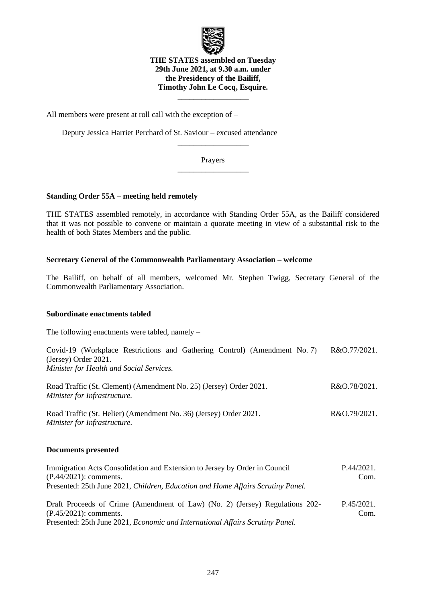

**THE STATES assembled on Tuesday 29th June 2021, at 9.30 a.m. under the Presidency of the Bailiff, Timothy John Le Cocq, Esquire.**

\_\_\_\_\_\_\_\_\_\_\_\_\_\_\_\_\_\_

All members were present at roll call with the exception of –

Deputy Jessica Harriet Perchard of St. Saviour – excused attendance

Prayers \_\_\_\_\_\_\_\_\_\_\_\_\_\_\_\_\_\_

\_\_\_\_\_\_\_\_\_\_\_\_\_\_\_\_\_\_

# **Standing Order 55A – meeting held remotely**

THE STATES assembled remotely, in accordance with Standing Order 55A, as the Bailiff considered that it was not possible to convene or maintain a quorate meeting in view of a substantial risk to the health of both States Members and the public.

# **Secretary General of the Commonwealth Parliamentary Association – welcome**

The Bailiff, on behalf of all members, welcomed Mr. Stephen Twigg, Secretary General of the Commonwealth Parliamentary Association.

# **Subordinate enactments tabled**

The following enactments were tabled, namely –

| Covid-19 (Workplace Restrictions and Gathering Control) (Amendment No. 7)                          | R&O.77/2021. |
|----------------------------------------------------------------------------------------------------|--------------|
| (Jersey) Order 2021.                                                                               |              |
| Minister for Health and Social Services.                                                           |              |
| Road Traffic (St. Clement) (Amendment No. 25) (Jersey) Order 2021.<br>Minister for Infrastructure. | R&O.78/2021. |
| Road Traffic (St. Helier) (Amendment No. 36) (Jersey) Order 2021.<br>Minister for Infrastructure.  | R&O.79/2021. |
| Documents presented                                                                                |              |

| Immigration Acts Consolidation and Extension to Jersey by Order in Council           | P.44/2021. |
|--------------------------------------------------------------------------------------|------------|
| $(P.44/2021)$ : comments.                                                            | Com.       |
| Presented: 25th June 2021, Children, Education and Home Affairs Scrutiny Panel.      |            |
| Draft Proceeds of Crime (Amendment of Law) (No. 2) (Jersey) Regulations 202-         | P.45/2021. |
| $(P.45/2021)$ : comments.                                                            | Com.       |
| Presented: 25th June 2021, <i>Economic and International Affairs Scrutiny Panel.</i> |            |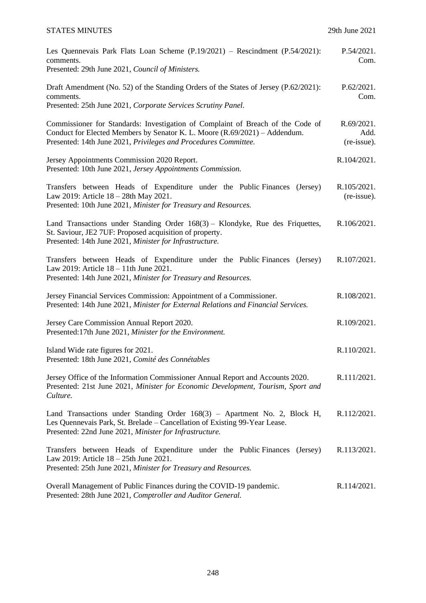# STATES MINUTES 29th June 2021

| Les Quennevais Park Flats Loan Scheme $(P.19/2021)$ – Rescindment $(P.54/2021)$ :<br>comments.<br>Presented: 29th June 2021, Council of Ministers.                                                                               | P.54/2021.<br>Com.                |
|----------------------------------------------------------------------------------------------------------------------------------------------------------------------------------------------------------------------------------|-----------------------------------|
| Draft Amendment (No. 52) of the Standing Orders of the States of Jersey (P.62/2021):<br>comments.<br>Presented: 25th June 2021, Corporate Services Scrutiny Panel.                                                               | P.62/2021.<br>Com.                |
| Commissioner for Standards: Investigation of Complaint of Breach of the Code of<br>Conduct for Elected Members by Senator K. L. Moore (R.69/2021) – Addendum.<br>Presented: 14th June 2021, Privileges and Procedures Committee. | R.69/2021.<br>Add.<br>(re-issue). |
| Jersey Appointments Commission 2020 Report.<br>Presented: 10th June 2021, Jersey Appointments Commission.                                                                                                                        | R.104/2021.                       |
| Transfers between Heads of Expenditure under the Public Finances (Jersey)<br>Law 2019: Article 18 – 28th May 2021.<br>Presented: 10th June 2021, Minister for Treasury and Resources.                                            | R.105/2021.<br>(re-issue).        |
| Land Transactions under Standing Order 168(3) - Klondyke, Rue des Friquettes,<br>St. Saviour, JE2 7UF: Proposed acquisition of property.<br>Presented: 14th June 2021, Minister for Infrastructure.                              | R.106/2021.                       |
| Transfers between Heads of Expenditure under the Public Finances<br>(Jersey)<br>Law 2019: Article 18 – 11th June 2021.<br>Presented: 14th June 2021, Minister for Treasury and Resources.                                        | R.107/2021.                       |
| Jersey Financial Services Commission: Appointment of a Commissioner.<br>Presented: 14th June 2021, Minister for External Relations and Financial Services.                                                                       | R.108/2021.                       |
| Jersey Care Commission Annual Report 2020.<br>Presented: 17th June 2021, Minister for the Environment.                                                                                                                           | R.109/2021.                       |
| Island Wide rate figures for 2021.<br>Presented: 18th June 2021, Comité des Connétables                                                                                                                                          | R.110/2021.                       |
| Jersey Office of the Information Commissioner Annual Report and Accounts 2020.<br>Presented: 21st June 2021, Minister for Economic Development, Tourism, Sport and<br>Culture.                                                   | R.111/2021.                       |
| Land Transactions under Standing Order 168(3) – Apartment No. 2, Block H,<br>Les Quennevais Park, St. Brelade - Cancellation of Existing 99-Year Lease.<br>Presented: 22nd June 2021, Minister for Infrastructure.               | R.112/2021.                       |
| Transfers between Heads of Expenditure under the Public Finances<br>(Jersey)<br>Law 2019: Article 18 - 25th June 2021.<br>Presented: 25th June 2021, Minister for Treasury and Resources.                                        | R.113/2021.                       |
| Overall Management of Public Finances during the COVID-19 pandemic.<br>Presented: 28th June 2021, Comptroller and Auditor General.                                                                                               | R.114/2021.                       |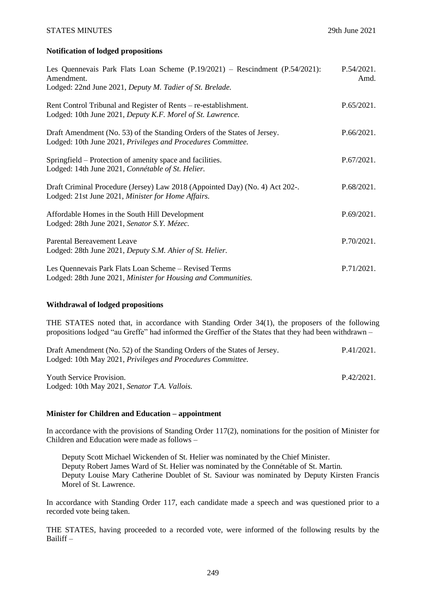[P.42/2021.](https://statesassembly.gov.je/AssemblyPropositions/2021/P.42-2021.pdf)

# **Notification of lodged propositions**

| Les Quennevais Park Flats Loan Scheme $(P.19/2021)$ – Rescindment $(P.54/2021)$ :<br>Amendment.<br>Lodged: 22nd June 2021, Deputy M. Tadier of St. Brelade. | P.54/2021.<br>Amd. |
|-------------------------------------------------------------------------------------------------------------------------------------------------------------|--------------------|
| Rent Control Tribunal and Register of Rents – re-establishment.<br>Lodged: 10th June 2021, Deputy K.F. Morel of St. Lawrence.                               | P.65/2021.         |
| Draft Amendment (No. 53) of the Standing Orders of the States of Jersey.<br>Lodged: 10th June 2021, Privileges and Procedures Committee.                    | P.66/2021.         |
| Springfield – Protection of amenity space and facilities.<br>Lodged: 14th June 2021, Connétable of St. Helier.                                              | P.67/2021.         |
| Draft Criminal Procedure (Jersey) Law 2018 (Appointed Day) (No. 4) Act 202-.<br>Lodged: 21st June 2021, Minister for Home Affairs.                          | P.68/2021.         |
| Affordable Homes in the South Hill Development<br>Lodged: 28th June 2021, Senator S.Y. Mézec.                                                               | P.69/2021.         |
| <b>Parental Bereavement Leave</b><br>Lodged: 28th June 2021, Deputy S.M. Ahier of St. Helier.                                                               | P.70/2021.         |
| Les Quennevais Park Flats Loan Scheme - Revised Terms<br>Lodged: 28th June 2021, Minister for Housing and Communities.                                      | P.71/2021.         |

# **Withdrawal of lodged propositions**

THE STATES noted that, in accordance with Standing Order 34(1), the proposers of the following propositions lodged "au Greffe" had informed the Greffier of the States that they had been withdrawn –

| Draft Amendment (No. 52) of the Standing Orders of the States of Jersey. | P.41/2021. |
|--------------------------------------------------------------------------|------------|
| Lodged: 10th May 2021, Privileges and Procedures Committee.              |            |
|                                                                          |            |

[Youth Service Provision.](https://statesassembly.gov.je/AssemblyPropositions/2021/P.42-2021.pdf) [Lodged: 10th May 2021,](https://statesassembly.gov.je/AssemblyPropositions/2021/P.42-2021.pdf) *Senator T.A. Vallois.*

### **Minister for Children and Education – appointment**

In accordance with the provisions of Standing Order 117(2), nominations for the position of Minister for Children and Education were made as follows –

Deputy Scott Michael Wickenden of St. Helier was nominated by the Chief Minister. Deputy Robert James Ward of St. Helier was nominated by the Connétable of St. Martin. Deputy Louise Mary Catherine Doublet of St. Saviour was nominated by Deputy Kirsten Francis Morel of St. Lawrence.

In accordance with Standing Order 117, each candidate made a speech and was questioned prior to a recorded vote being taken.

THE STATES, having proceeded to a recorded vote, were informed of the following results by the Bailiff –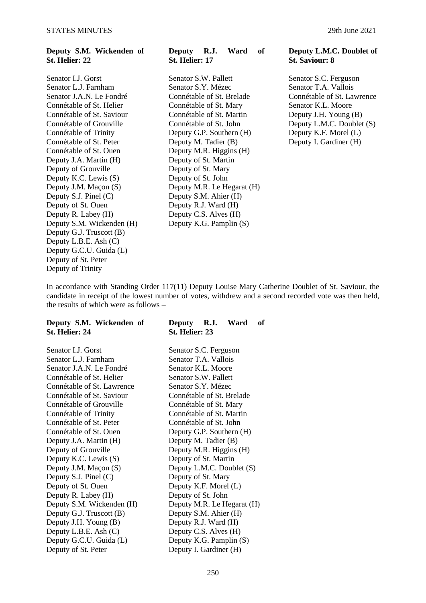# **Deputy S.M. Wickenden of St. Helier: 22**

Connétable of Trinity Deputy G.P. Southern (H) Connétable of St. Ouen Deputy M.R. Higgins (H) Deputy J.A. Martin (H) Deputy of St. Martin<br>Deputy of Grouville Deputy of St. Mary Deputy of Grouville<br>Deputy of St. Mary<br>Deputy K.C. Lewis (S) Deputy of St. John Deputy K.C. Lewis  $(S)$ Deputy S.J. Pinel (C) Deputy S.M. Ahier (H) Deputy of St. Ouen Deputy R.J. Ward (H) Deputy R. Labey (H) Deputy C.S. Alves (H) Deputy S.M. Wickenden (H) Deputy K.G. Pamplin (S) Deputy G.J. Truscott (B) Deputy L.B.E. Ash (C) Deputy G.C.U. Guida (L) Deputy of St. Peter Deputy of Trinity

# **Deputy R.J. Ward of St. Helier: 17**

Senator I.J. Gorst Senator S.W. Pallett Senator S.C. Ferguson Senator L.J. Farnham Senator S.Y. Mézec Senator T.A. Vallois Senator J.A.N. Le Fondré Connétable of St. Brelade Connétable of St. Lawrence<br>
Connétable of St. Helier Connétable of St. Mary Senator K.L. Moore Connétable of St. Mary Connétable of St. Saviour Connétable of St. Martin Deputy J.H. Young (B)<br>
Connétable of Grouville Connétable of St. John Deputy L.M.C. Doublet Connétable of St. Peter Deputy M. Tadier (B) Deputy I. Gardiner (H) Deputy J.M. Maçon (S) Deputy M.R. Le Hegarat (H)

### **Deputy L.M.C. Doublet of St. Saviour: 8**

Deputy L.M.C. Doublet (S)<br>Deputy K.F. Morel (L)

In accordance with Standing Order 117(11) Deputy Louise Mary Catherine Doublet of St. Saviour, the candidate in receipt of the lowest number of votes, withdrew and a second recorded vote was then held, the results of which were as follows –

| St. Helier: 24             | St. Helier: 23             |
|----------------------------|----------------------------|
| Senator LJ. Gorst          | Senator S.C. Ferguson      |
| Senator L.J. Farnham       | Senator T.A. Vallois       |
| Senator J.A.N. Le Fondré   | Senator K.L. Moore         |
| Connétable of St. Helier   | Senator S.W. Pallett       |
| Connétable of St. Lawrence | Senator S.Y. Mézec         |
| Connétable of St. Saviour  | Connétable of St. Brelade  |
| Connétable of Grouville    | Connétable of St. Mary     |
| Connétable of Trinity      | Connétable of St. Martin   |
| Connétable of St. Peter    | Connétable of St. John     |
| Connétable of St. Ouen     | Deputy G.P. Southern (H)   |
| Deputy J.A. Martin (H)     | Deputy M. Tadier (B)       |
| Deputy of Grouville        | Deputy M.R. Higgins (H)    |
| Deputy K.C. Lewis (S)      | Deputy of St. Martin       |
| Deputy J.M. Maçon (S)      | Deputy L.M.C. Doublet (S)  |
| Deputy S.J. Pinel (C)      | Deputy of St. Mary         |
| Deputy of St. Ouen         | Deputy K.F. Morel (L)      |
| Deputy R. Labey (H)        | Deputy of St. John         |
| Deputy S.M. Wickenden (H)  | Deputy M.R. Le Hegarat (H) |
| Deputy G.J. Truscott (B)   | Deputy S.M. Ahier (H)      |
| Deputy J.H. Young (B)      | Deputy R.J. Ward (H)       |
| Deputy L.B.E. Ash (C)      | Deputy C.S. Alves (H)      |
| Deputy G.C.U. Guida (L)    | Deputy K.G. Pamplin (S)    |
| Deputy of St. Peter        | Deputy I. Gardiner (H)     |

# **Deputy S.M. Wickenden of Deputy R.J. Ward of St. Helier: 23**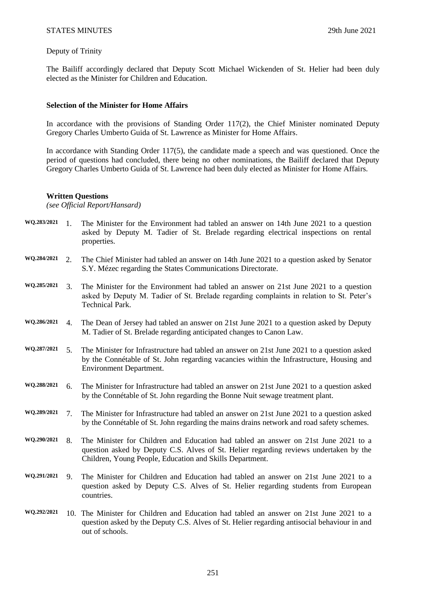# Deputy of Trinity

The Bailiff accordingly declared that Deputy Scott Michael Wickenden of St. Helier had been duly elected as the Minister for Children and Education.

# **Selection of the Minister for Home Affairs**

In accordance with the provisions of Standing Order 117(2), the Chief Minister nominated Deputy Gregory Charles Umberto Guida of St. Lawrence as Minister for Home Affairs.

In accordance with Standing Order 117(5), the candidate made a speech and was questioned. Once the period of questions had concluded, there being no other nominations, the Bailiff declared that Deputy Gregory Charles Umberto Guida of St. Lawrence had been duly elected as Minister for Home Affairs.

### **Written Questions**

*(see Official Report/Hansard)*

- **WQ.283/2021** 1. The Minister for the Environment had tabled an answer on 14th June 2021 to a question asked by Deputy M. Tadier of St. Brelade regarding electrical inspections on rental properties.
- **WQ.284/2021** 2. The Chief Minister had tabled an answer on 14th June 2021 to a question asked by Senator S.Y. Mézec regarding the States Communications Directorate.
- **WQ.285/2021** 3. The Minister for the Environment had tabled an answer on 21st June 2021 to a question asked by Deputy M. Tadier of St. Brelade regarding complaints in relation to St. Peter's Technical Park.
- **WQ.286/2021** 4. The Dean of Jersey had tabled an answer on 21st June 2021 to a question asked by Deputy M. Tadier of St. Brelade regarding anticipated changes to Canon Law.
- **WQ.287/2021** 5. The Minister for Infrastructure had tabled an answer on 21st June 2021 to a question asked by the Connétable of St. John regarding vacancies within the Infrastructure, Housing and Environment Department.
- **WQ.288/2021** 6. The Minister for Infrastructure had tabled an answer on 21st June 2021 to a question asked by the Connétable of St. John regarding the Bonne Nuit sewage treatment plant.
- **WQ.289/2021** 7. The Minister for Infrastructure had tabled an answer on 21st June 2021 to a question asked by the Connétable of St. John regarding the mains drains network and road safety schemes.
- **WQ.290/2021** 8. The Minister for Children and Education had tabled an answer on 21st June 2021 to a question asked by Deputy C.S. Alves of St. Helier regarding reviews undertaken by the Children, Young People, Education and Skills Department.
- **WQ.291/2021** 9. The Minister for Children and Education had tabled an answer on 21st June 2021 to a question asked by Deputy C.S. Alves of St. Helier regarding students from European countries.
- **WQ.292/2021** 10. The Minister for Children and Education had tabled an answer on 21st June 2021 to a question asked by the Deputy C.S. Alves of St. Helier regarding antisocial behaviour in and out of schools.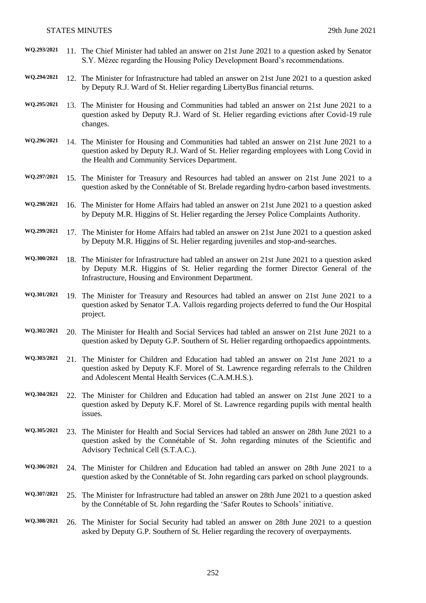| WQ.293/2021 |     | 11. The Chief Minister had tabled an answer on 21st June 2021 to a question asked by Senator<br>S.Y. Mézec regarding the Housing Policy Development Board's recommendations.                                                               |
|-------------|-----|--------------------------------------------------------------------------------------------------------------------------------------------------------------------------------------------------------------------------------------------|
| WQ.294/2021 |     | 12. The Minister for Infrastructure had tabled an answer on 21st June 2021 to a question asked<br>by Deputy R.J. Ward of St. Helier regarding LibertyBus financial returns.                                                                |
| WQ.295/2021 |     | 13. The Minister for Housing and Communities had tabled an answer on 21st June 2021 to a<br>question asked by Deputy R.J. Ward of St. Helier regarding evictions after Covid-19 rule<br>changes.                                           |
| WQ.296/2021 |     | 14. The Minister for Housing and Communities had tabled an answer on 21st June 2021 to a<br>question asked by Deputy R.J. Ward of St. Helier regarding employees with Long Covid in<br>the Health and Community Services Department.       |
| WQ.297/2021 |     | 15. The Minister for Treasury and Resources had tabled an answer on 21st June 2021 to a<br>question asked by the Connétable of St. Brelade regarding hydro-carbon based investments.                                                       |
| WQ.298/2021 |     | 16. The Minister for Home Affairs had tabled an answer on 21st June 2021 to a question asked<br>by Deputy M.R. Higgins of St. Helier regarding the Jersey Police Complaints Authority.                                                     |
| WQ.299/2021 |     | 17. The Minister for Home Affairs had tabled an answer on 21st June 2021 to a question asked<br>by Deputy M.R. Higgins of St. Helier regarding juveniles and stop-and-searches.                                                            |
| WQ.300/2021 |     | 18. The Minister for Infrastructure had tabled an answer on 21st June 2021 to a question asked<br>by Deputy M.R. Higgins of St. Helier regarding the former Director General of the<br>Infrastructure, Housing and Environment Department. |
| WQ.301/2021 |     | 19. The Minister for Treasury and Resources had tabled an answer on 21st June 2021 to a<br>question asked by Senator T.A. Vallois regarding projects deferred to fund the Our Hospital<br>project.                                         |
| WQ.302/2021 |     | 20. The Minister for Health and Social Services had tabled an answer on 21st June 2021 to a<br>question asked by Deputy G.P. Southern of St. Helier regarding orthopaedics appointments.                                                   |
| WQ.303/2021 |     | 21. The Minister for Children and Education had tabled an answer on 21st June 2021 to a<br>question asked by Deputy K.F. Morel of St. Lawrence regarding referrals to the Children<br>and Adolescent Mental Health Services (C.A.M.H.S.).  |
| WQ.304/2021 |     | 22. The Minister for Children and Education had tabled an answer on 21st June 2021 to a<br>question asked by Deputy K.F. Morel of St. Lawrence regarding pupils with mental health<br>issues.                                              |
| WQ.305/2021 | 23. | The Minister for Health and Social Services had tabled an answer on 28th June 2021 to a<br>question asked by the Connétable of St. John regarding minutes of the Scientific and<br>Advisory Technical Cell (S.T.A.C.).                     |
| WQ.306/2021 |     | 24. The Minister for Children and Education had tabled an answer on 28th June 2021 to a<br>question asked by the Connétable of St. John regarding cars parked on school playgrounds.                                                       |
| WQ.307/2021 |     | 25. The Minister for Infrastructure had tabled an answer on 28th June 2021 to a question asked<br>by the Connétable of St. John regarding the 'Safer Routes to Schools' initiative.                                                        |
| WQ.308/2021 |     | 26. The Minister for Social Security had tabled an answer on 28th June 2021 to a question<br>asked by Deputy G.P. Southern of St. Helier regarding the recovery of overpayments.                                                           |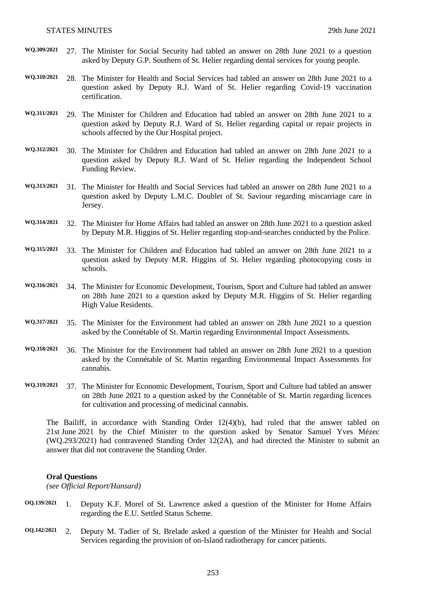- **WQ.309/2021** 27. The Minister for Social Security had tabled an answer on 28th June 2021 to a question asked by Deputy G.P. Southern of St. Helier regarding dental services for young people.
- **WQ.310/2021** 28. The Minister for Health and Social Services had tabled an answer on 28th June 2021 to a question asked by Deputy R.J. Ward of St. Helier regarding Covid-19 vaccination certification.
- **WQ.311/2021** 29. The Minister for Children and Education had tabled an answer on 28th June 2021 to a question asked by Deputy R.J. Ward of St. Helier regarding capital or repair projects in schools affected by the Our Hospital project.
- **WQ.312/2021** 30. The Minister for Children and Education had tabled an answer on 28th June 2021 to a question asked by Deputy R.J. Ward of St. Helier regarding the Independent School Funding Review.
- **WQ.313/2021** 31. The Minister for Health and Social Services had tabled an answer on 28th June 2021 to a question asked by Deputy L.M.C. Doublet of St. Saviour regarding miscarriage care in Jersey.
- **WQ.314/2021** 32. The Minister for Home Affairs had tabled an answer on 28th June 2021 to a question asked by Deputy M.R. Higgins of St. Helier regarding stop-and-searches conducted by the Police.
- **WQ.315/2021** 33. The Minister for Children and Education had tabled an answer on 28th June 2021 to a question asked by Deputy M.R. Higgins of St. Helier regarding photocopying costs in schools.
- **WQ.316/2021** 34. The Minister for Economic Development, Tourism, Sport and Culture had tabled an answer on 28th June 2021 to a question asked by Deputy M.R. Higgins of St. Helier regarding High Value Residents.
- **WQ.317/2021** 35. The Minister for the Environment had tabled an answer on 28th June 2021 to a question asked by the Connétable of St. Martin regarding Environmental Impact Assessments.
- **WQ.318/2021** 36. The Minister for the Environment had tabled an answer on 28th June 2021 to a question asked by the Connétable of St. Martin regarding Environmental Impact Assessments for cannabis.
- **WQ.319/2021** 37. The Minister for Economic Development, Tourism, Sport and Culture had tabled an answer on 28th June 2021 to a question asked by the Connétable of St. Martin regarding licences for cultivation and processing of medicinal cannabis.

The Bailiff, in accordance with Standing Order 12(4)(b), had ruled that the answer tabled on 21st June 2021 by the Chief Minister to the question asked by Senator Samuel Yves Mézec (WQ.293/2021) had contravened Standing Order 12(2A), and had directed the Minister to submit an answer that did not contravene the Standing Order.

#### **Oral Questions**

*(see Official Report/Hansard)*

- **OQ.139/2021** 1. Deputy K.F. Morel of St. Lawrence asked a question of the Minister for Home Affairs regarding the E.U. Settled Status Scheme.
- **OQ.142/2021** 2. Deputy M. Tadier of St. Brelade asked a question of the Minister for Health and Social Services regarding the provision of on-Island radiotherapy for cancer patients.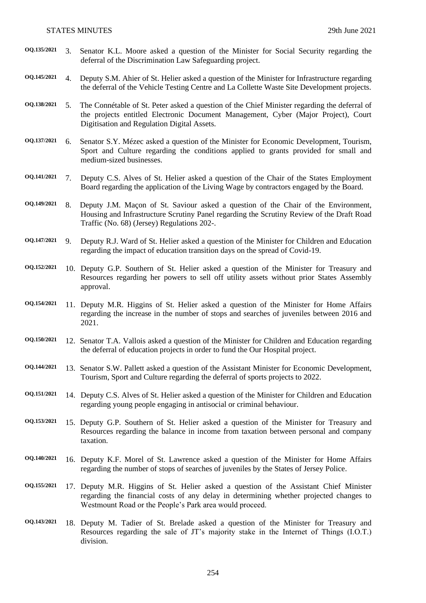**OQ.135/2021** 3. Senator K.L. Moore asked a question of the Minister for Social Security regarding the deferral of the Discrimination Law Safeguarding project. **OQ.145/2021** 4. Deputy S.M. Ahier of St. Helier asked a question of the Minister for Infrastructure regarding the deferral of the Vehicle Testing Centre and La Collette Waste Site Development projects. **OQ.138/2021** 5. The Connétable of St. Peter asked a question of the Chief Minister regarding the deferral of the projects entitled Electronic Document Management, Cyber (Major Project), Court Digitisation and Regulation Digital Assets. **OQ.137/2021** 6. Senator S.Y. Mézec asked a question of the Minister for Economic Development, Tourism, Sport and Culture regarding the conditions applied to grants provided for small and medium-sized businesses. **OQ.141/2021** 7. Deputy C.S. Alves of St. Helier asked a question of the Chair of the States Employment Board regarding the application of the Living Wage by contractors engaged by the Board. **OQ.149/2021** 8. Deputy J.M. Maçon of St. Saviour asked a question of the Chair of the Environment, Housing and Infrastructure Scrutiny Panel regarding the Scrutiny Review of the Draft Road Traffic (No. 68) (Jersey) Regulations 202-. **OQ.147/2021** 9. Deputy R.J. Ward of St. Helier asked a question of the Minister for Children and Education regarding the impact of education transition days on the spread of Covid-19. **OQ.152/2021** 10. Deputy G.P. Southern of St. Helier asked a question of the Minister for Treasury and Resources regarding her powers to sell off utility assets without prior States Assembly approval. **OQ.154/2021** 11. Deputy M.R. Higgins of St. Helier asked a question of the Minister for Home Affairs regarding the increase in the number of stops and searches of juveniles between 2016 and 2021. **OQ.150/2021** 12. Senator T.A. Vallois asked a question of the Minister for Children and Education regarding the deferral of education projects in order to fund the Our Hospital project. **OQ.144/2021** 13. Senator S.W. Pallett asked a question of the Assistant Minister for Economic Development, Tourism, Sport and Culture regarding the deferral of sports projects to 2022. **OQ.151/2021** 14. Deputy C.S. Alves of St. Helier asked a question of the Minister for Children and Education regarding young people engaging in antisocial or criminal behaviour. **OQ.153/2021** 15. Deputy G.P. Southern of St. Helier asked a question of the Minister for Treasury and Resources regarding the balance in income from taxation between personal and company taxation. **OQ.140/2021** 16. Deputy K.F. Morel of St. Lawrence asked a question of the Minister for Home Affairs regarding the number of stops of searches of juveniles by the States of Jersey Police. **OQ.155/2021** 17. Deputy M.R. Higgins of St. Helier asked a question of the Assistant Chief Minister regarding the financial costs of any delay in determining whether projected changes to Westmount Road or the People's Park area would proceed. **OQ.143/2021** 18. Deputy M. Tadier of St. Brelade asked a question of the Minister for Treasury and Resources regarding the sale of JT's majority stake in the Internet of Things (I.O.T.) division.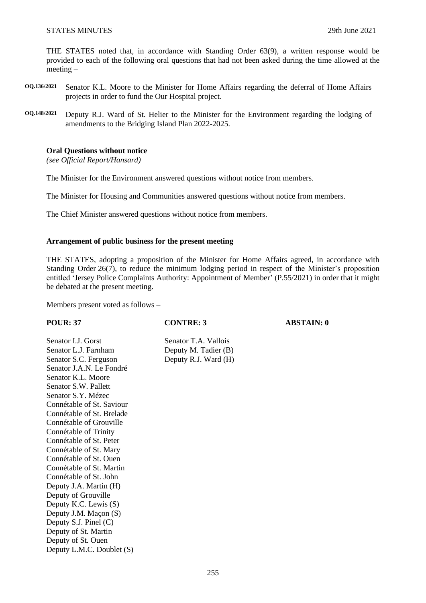THE STATES noted that, in accordance with Standing Order 63(9), a written response would be provided to each of the following oral questions that had not been asked during the time allowed at the meeting –

- **OQ.136/2021** Senator K.L. Moore to the Minister for Home Affairs regarding the deferral of Home Affairs projects in order to fund the Our Hospital project.
- **OQ.148/2021** Deputy R.J. Ward of St. Helier to the Minister for the Environment regarding the lodging of amendments to the Bridging Island Plan 2022-2025.

# **Oral Questions without notice**

*(see Official Report/Hansard)*

The Minister for the Environment answered questions without notice from members.

The Minister for Housing and Communities answered questions without notice from members.

The Chief Minister answered questions without notice from members.

#### **Arrangement of public business for the present meeting**

THE STATES, adopting a proposition of the Minister for Home Affairs agreed, in accordance with Standing Order 26(7), to reduce the minimum lodging period in respect of the Minister's proposition entitled 'Jersey Police Complaints Authority: Appointment of Member' (P.55/2021) in order that it might be debated at the present meeting.

Members present voted as follows –

Senator I.J. Gorst Senator T.A. Vallois Senator L.J. Farnham Deputy M. Tadier (B) Senator S.C. Ferguson Deputy R.J. Ward (H) Senator J.A.N. Le Fondré Senator K.L. Moore Senator S.W. Pallett Senator S.Y. Mézec Connétable of St. Saviour Connétable of St. Brelade Connétable of Grouville Connétable of Trinity Connétable of St. Peter Connétable of St. Mary Connétable of St. Ouen Connétable of St. Martin Connétable of St. John Deputy J.A. Martin (H) Deputy of Grouville Deputy K.C. Lewis (S) Deputy J.M. Maçon (S) Deputy S.J. Pinel (C) Deputy of St. Martin Deputy of St. Ouen Deputy L.M.C. Doublet (S)

**POUR: 37 CONTRE: 3 ABSTAIN: 0**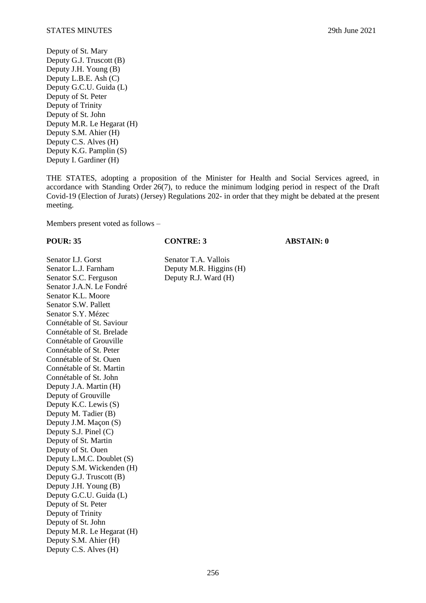Deputy of St. Mary Deputy G.J. Truscott (B) Deputy J.H. Young (B) Deputy L.B.E. Ash (C) Deputy G.C.U. Guida (L) Deputy of St. Peter Deputy of Trinity Deputy of St. John Deputy M.R. Le Hegarat (H) Deputy S.M. Ahier (H) Deputy C.S. Alves (H) Deputy K.G. Pamplin (S) Deputy I. Gardiner (H)

THE STATES, adopting a proposition of the Minister for Health and Social Services agreed, in accordance with Standing Order 26(7), to reduce the minimum lodging period in respect of the Draft Covid-19 (Election of Jurats) (Jersey) Regulations 202- in order that they might be debated at the present meeting.

Members present voted as follows –

**POUR: 35 CONTRE: 3 ABSTAIN: 0**

Senator I.J. Gorst Senator T.A. Vallois Senator L.J. Farnham Deputy M.R. Higgins (H) Senator S.C. Ferguson Deputy R.J. Ward (H) Senator J.A.N. Le Fondré Senator K.L. Moore Senator S.W. Pallett Senator S.Y. Mézec Connétable of St. Saviour Connétable of St. Brelade Connétable of Grouville Connétable of St. Peter Connétable of St. Ouen Connétable of St. Martin Connétable of St. John Deputy J.A. Martin (H) Deputy of Grouville Deputy K.C. Lewis (S) Deputy M. Tadier (B) Deputy J.M. Maçon (S) Deputy S.J. Pinel (C) Deputy of St. Martin Deputy of St. Ouen Deputy L.M.C. Doublet (S) Deputy S.M. Wickenden (H) Deputy G.J. Truscott (B) Deputy J.H. Young (B) Deputy G.C.U. Guida (L) Deputy of St. Peter Deputy of Trinity Deputy of St. John Deputy M.R. Le Hegarat (H) Deputy S.M. Ahier (H) Deputy C.S. Alves (H)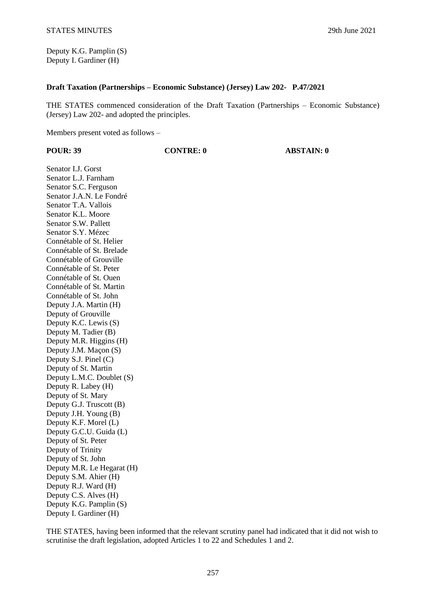Deputy K.G. Pamplin (S) Deputy I. Gardiner (H)

### **Draft Taxation (Partnerships – Economic Substance) (Jersey) Law 202- P.47/2021**

THE STATES commenced consideration of the Draft Taxation (Partnerships – Economic Substance) (Jersey) Law 202- and adopted the principles.

Members present voted as follows –

| <b>POUR: 39</b> |
|-----------------|
|-----------------|

**POUR: 39 CONTRE: 0 ABSTAIN: 0**

Senator I.J. Gorst Senator L.J. Farnham Senator S.C. Ferguson Senator J.A.N. Le Fondré Senator T.A. Vallois Senator K.L. Moore Senator S.W. Pallett Senator S.Y. Mézec Connétable of St. Helier Connétable of St. Brelade Connétable of Grouville Connétable of St. Peter Connétable of St. Ouen Connétable of St. Martin Connétable of St. John Deputy J.A. Martin (H) Deputy of Grouville Deputy K.C. Lewis (S) Deputy M. Tadier (B) Deputy M.R. Higgins (H) Deputy J.M. Maçon (S) Deputy S.J. Pinel (C) Deputy of St. Martin Deputy L.M.C. Doublet (S) Deputy R. Labey (H) Deputy of St. Mary Deputy G.J. Truscott (B) Deputy J.H. Young (B) Deputy K.F. Morel (L) Deputy G.C.U. Guida (L) Deputy of St. Peter Deputy of Trinity Deputy of St. John Deputy M.R. Le Hegarat (H) Deputy S.M. Ahier (H) Deputy R.J. Ward (H) Deputy C.S. Alves (H) Deputy K.G. Pamplin (S) Deputy I. Gardiner (H)

THE STATES, having been informed that the relevant scrutiny panel had indicated that it did not wish to scrutinise the draft legislation, adopted Articles 1 to 22 and Schedules 1 and 2.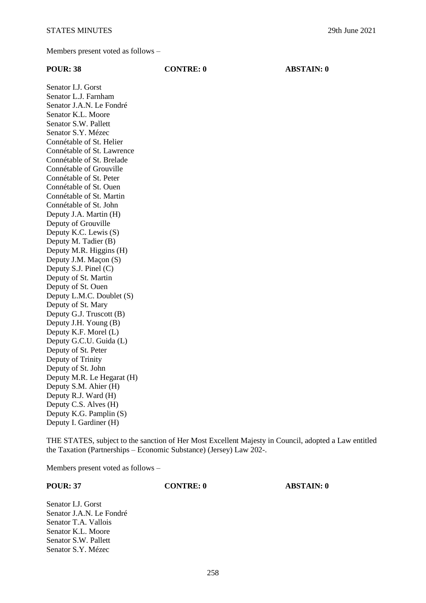Members present voted as follows –

| <b>POUR: 38</b>            | <b>CONTRE: 0</b> | <b>ABSTAIN: 0</b> |
|----------------------------|------------------|-------------------|
| Senator I.J. Gorst         |                  |                   |
| Senator L.J. Farnham       |                  |                   |
| Senator J.A.N. Le Fondré   |                  |                   |
| Senator K.L. Moore         |                  |                   |
| Senator S.W. Pallett       |                  |                   |
| Senator S.Y. Mézec         |                  |                   |
| Connétable of St. Helier   |                  |                   |
| Connétable of St. Lawrence |                  |                   |
| Connétable of St. Brelade  |                  |                   |
| Connétable of Grouville    |                  |                   |
| Connétable of St. Peter    |                  |                   |
| Connétable of St. Ouen     |                  |                   |
| Connétable of St. Martin   |                  |                   |
| Connétable of St. John     |                  |                   |
| Deputy J.A. Martin (H)     |                  |                   |
| Deputy of Grouville        |                  |                   |
| Deputy K.C. Lewis (S)      |                  |                   |
| Deputy M. Tadier (B)       |                  |                   |
| Deputy M.R. Higgins (H)    |                  |                   |
| Deputy J.M. Maçon (S)      |                  |                   |
| Deputy S.J. Pinel (C)      |                  |                   |
| Deputy of St. Martin       |                  |                   |
| Deputy of St. Ouen         |                  |                   |
| Deputy L.M.C. Doublet (S)  |                  |                   |
| Deputy of St. Mary         |                  |                   |
| Deputy G.J. Truscott (B)   |                  |                   |
| Deputy J.H. Young (B)      |                  |                   |
| Deputy K.F. Morel (L)      |                  |                   |
| Deputy G.C.U. Guida (L)    |                  |                   |
| Deputy of St. Peter        |                  |                   |
| Deputy of Trinity          |                  |                   |
| Deputy of St. John         |                  |                   |
| Deputy M.R. Le Hegarat (H) |                  |                   |
| Deputy S.M. Ahier (H)      |                  |                   |
| Deputy R.J. Ward (H)       |                  |                   |
| Deputy C.S. Alves (H)      |                  |                   |
| Deputy K.G. Pamplin (S)    |                  |                   |
| Deputy I. Gardiner (H)     |                  |                   |

THE STATES, subject to the sanction of Her Most Excellent Majesty in Council, adopted a Law entitled the Taxation (Partnerships – Economic Substance) (Jersey) Law 202-.

Members present voted as follows –

**POUR: 37 CONTRE: 0 ABSTAIN: 0**

Senator I.J. Gorst Senator J.A.N. Le Fondré Senator T.A. Vallois Senator K.L. Moore Senator S.W. Pallett Senator S.Y. Mézec